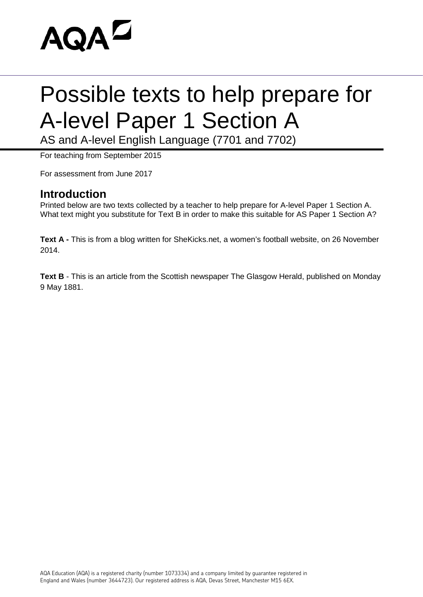

# Possible texts to help prepare for A-level Paper 1 Section A

AS and A-level English Language (7701 and 7702)

For teaching from September 2015

For assessment from June 2017

### **Introduction**

Printed below are two texts collected by a teacher to help prepare for A-level Paper 1 Section A. What text might you substitute for Text B in order to make this suitable for AS Paper 1 Section A?

**Text A -** This is from a blog written for SheKicks.net, a women's football website, on 26 November 2014.

**Text B** - This is an article from the Scottish newspaper The Glasgow Herald, published on Monday 9 May 1881.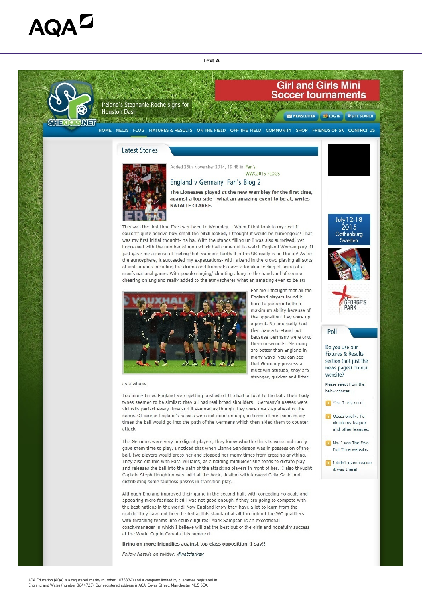# AQAL

**Text A** 



Ireland's Stephanie Roche signs for **Houston Dash** 

THE MAN PLANE WAS ALLEGED.

# **Girl and Girls Mini Soccer tournaments**

**NEWSLETTER 22 LOG IN** SITE SEARCH

#### HOME NEWS FLOG FIXTURES & RESULTS ON THE FIELD OFF THE FIELD COMMUNITY SHOP FRIENDS OF SK CONTACT US

### **Latest Stories**



#### Added 26th November 2014, 19:48 in Fan's WWC2015 FLOGS

## England v Germany: Fan's Blog 2

The Lionesses played at the new Wembley for the first time, against a top side - what an amazing event to be at, writes **NATALIE CLARKE.** 

This was the first time I've ever been to Wembley... When I first took to my seat I couldn't guite believe how small the pitch looked, I thought it would be humongous! That was my first initial thought- ha ha. With the stands filling up I was also surprised, yet impressed with the number of men which had come out to watch England Women play. It just gave me a sense of feeling that women's football in the UK really is on the up! As for the atmosphere, it succeeded my expectations- with a band in the crowd playing all sorts of instruments including the drums and trumpets gave a familiar feeling of being at a men's national game. With people singing/ chanting along to the band and of course cheering on England really added to the atmosphere! What an amazing even to be at!



For me I thought that all the England players found it hard to perform to their maximum ability because of the opposition they were up against. No one really had the chance to stand out because Germany were onto them in seconds. Germany are better than England in many ways- you can see that Germany possess a must win attitude, they are stronger, quicker and fitter

July 12-18 2015 Gothenburg Sweden







Do you use our **Fixtures & Results** section (not just the news pages) on our website?

Please select from the below choices...



and other leagues.

#### No. I use The FA's Full Time website

#### as a whole.

Too many times England were getting pushed off the ball or beat to the ball. Their body types seemed to be similar; they all had real broad shoulders! Germany's passes were virtually perfect every time and it seemed as though they were one step ahead of the game. Of course England's passes were not good enough, in terms of precision, many times the ball would go into the path of the Germans which then aided them to counter attack.

The Germans were very intelligent players, they knew who the threats were and rarely gave them time to play. I noticed that when Lianne Sanderson was in possession of the

ball, two players would press her and stopped her many times from creating anything. They also did this with Fara Williams, as a holding midfielder she tends to dictate play and releases the ball into the path of the attacking players in front of her. I also thought Captain Steph Houghton was solid at the back, dealing with forward Celia Sasic and distributing some faultless passes in transition play.

I didn't even realise it was there!

Although England improved their game in the second half, with conceding no goals and appearing more fearless it still was not good enough if they are going to compete with the best nations in the world! Now England know they have a lot to learn from the match, they have not been tested at this standard at all throughout the WC qualifiers with thrashing teams into double figures! Mark Sampson is an exceptional coach/manager in which I believe will get the best out of the girls and hopefully success at the World Cup in Canada this summer!

Bring on more friendlies against top class opposition, I say!!

Follow Natalie on twitter: @natclarkey

AQA Education (AQA) is a registered charity (number 1073334) and a company limited by guarantee registered in England and Wales (number 3644723). Our registered address is AQA, Devas Street, Manchester M15 6EX.